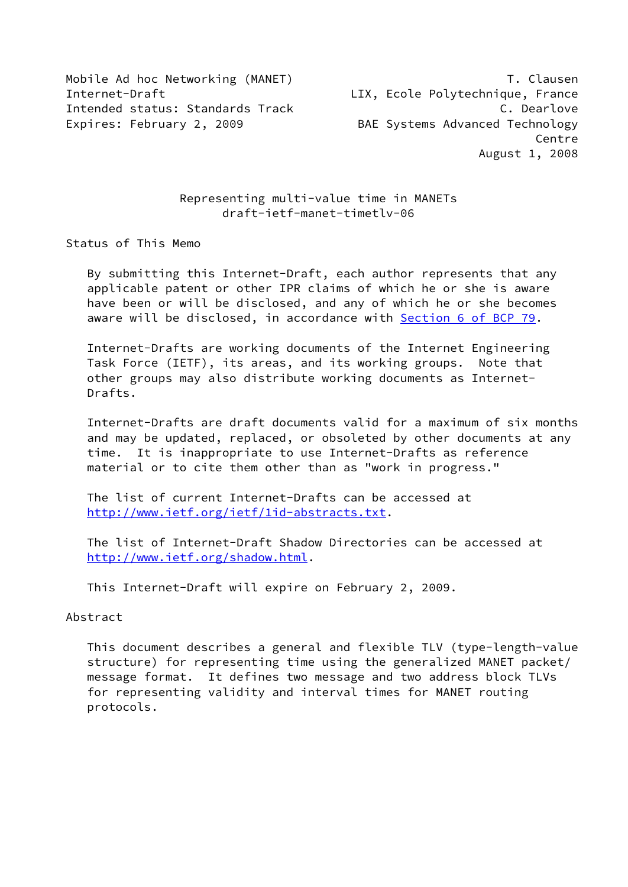Mobile Ad hoc Networking (MANET) T. Clausen Internet-Draft LIX, Ecole Polytechnique, France Intended status: Standards Track C. Dearlove Expires: February 2, 2009 BAE Systems Advanced Technology

experience of the control of the control of the control of the control of the control of the control of the co August 1, 2008

# Representing multi-value time in MANETs draft-ietf-manet-timetlv-06

Status of This Memo

 By submitting this Internet-Draft, each author represents that any applicable patent or other IPR claims of which he or she is aware have been or will be disclosed, and any of which he or she becomes aware will be disclosed, in accordance with Section [6 of BCP 79.](https://datatracker.ietf.org/doc/pdf/bcp79#section-6)

 Internet-Drafts are working documents of the Internet Engineering Task Force (IETF), its areas, and its working groups. Note that other groups may also distribute working documents as Internet- Drafts.

 Internet-Drafts are draft documents valid for a maximum of six months and may be updated, replaced, or obsoleted by other documents at any time. It is inappropriate to use Internet-Drafts as reference material or to cite them other than as "work in progress."

 The list of current Internet-Drafts can be accessed at <http://www.ietf.org/ietf/1id-abstracts.txt>.

 The list of Internet-Draft Shadow Directories can be accessed at <http://www.ietf.org/shadow.html>.

This Internet-Draft will expire on February 2, 2009.

#### Abstract

 This document describes a general and flexible TLV (type-length-value structure) for representing time using the generalized MANET packet/ message format. It defines two message and two address block TLVs for representing validity and interval times for MANET routing protocols.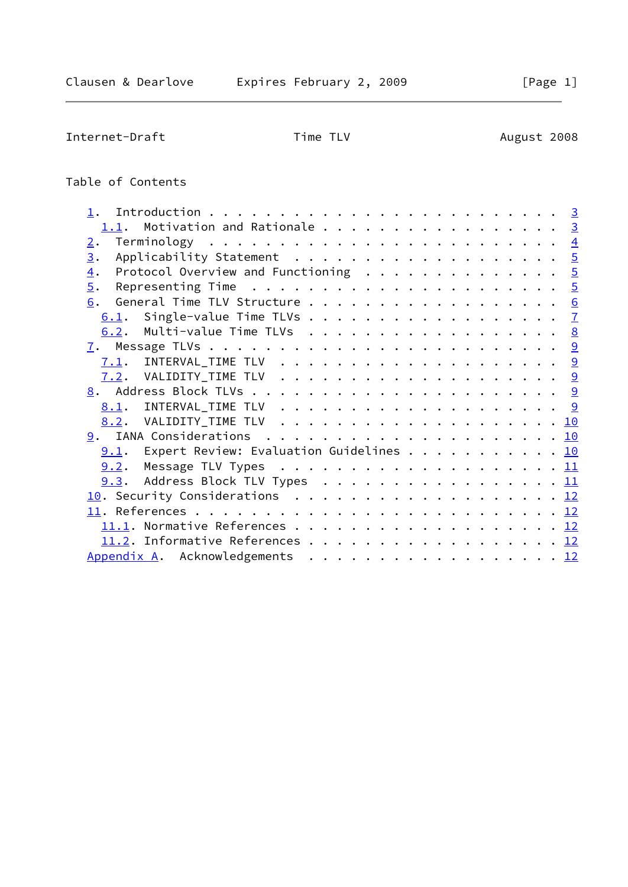Internet-Draft Time TLV Time TLV August 2008

# Table of Contents

| 1.1. Motivation and Rationale 3                                                                      |  |
|------------------------------------------------------------------------------------------------------|--|
| 2.                                                                                                   |  |
| Applicability Statement 5<br>3.                                                                      |  |
| Protocol Overview and Functioning $\ldots \ldots \ldots \ldots \ldots$<br>$\overline{4}$ .           |  |
| Representing Time $\ldots \ldots \ldots \ldots \ldots \ldots \ldots \frac{5}{2}$<br>$\overline{5}$ . |  |
| General Time TLV Structure 6<br>6.                                                                   |  |
| 6.1. Single-value Time TLVs $\frac{7}{2}$                                                            |  |
| 6.2. Multi-value Time TLVs 8                                                                         |  |
|                                                                                                      |  |
|                                                                                                      |  |
|                                                                                                      |  |
|                                                                                                      |  |
|                                                                                                      |  |
|                                                                                                      |  |
|                                                                                                      |  |
| 9.1. Expert Review: Evaluation Guidelines 10                                                         |  |
| 9.2.                                                                                                 |  |
| <u>9.3</u> . Address Block TLV Types <u>11</u>                                                       |  |
| 10. Security Considerations 12                                                                       |  |
|                                                                                                      |  |
|                                                                                                      |  |
| 11.2. Informative References 12                                                                      |  |
| Appendix A. Acknowledgements 12                                                                      |  |
|                                                                                                      |  |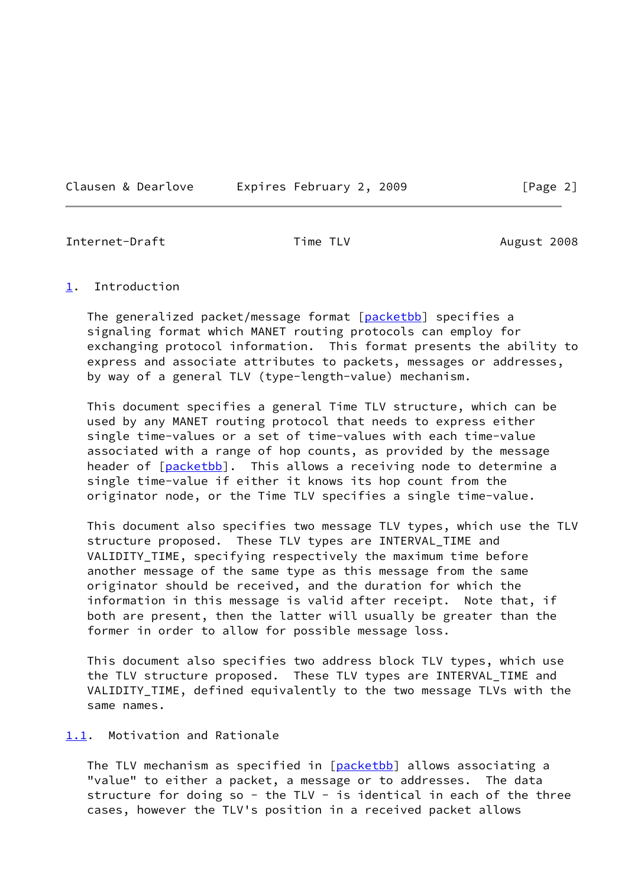Clausen & Dearlove **Expires February 2, 2009** [Page 2]

<span id="page-2-1"></span>Internet-Draft Time TLV Time TLV August 2008

### <span id="page-2-0"></span>[1](#page-2-0). Introduction

The generalized packet/message format [[packetbb\]](#page-13-2) specifies a signaling format which MANET routing protocols can employ for exchanging protocol information. This format presents the ability to express and associate attributes to packets, messages or addresses, by way of a general TLV (type-length-value) mechanism.

 This document specifies a general Time TLV structure, which can be used by any MANET routing protocol that needs to express either single time-values or a set of time-values with each time-value associated with a range of hop counts, as provided by the message header of [[packetbb\]](#page-13-2). This allows a receiving node to determine a single time-value if either it knows its hop count from the originator node, or the Time TLV specifies a single time-value.

 This document also specifies two message TLV types, which use the TLV structure proposed. These TLV types are INTERVAL\_TIME and VALIDITY\_TIME, specifying respectively the maximum time before another message of the same type as this message from the same originator should be received, and the duration for which the information in this message is valid after receipt. Note that, if both are present, then the latter will usually be greater than the former in order to allow for possible message loss.

 This document also specifies two address block TLV types, which use the TLV structure proposed. These TLV types are INTERVAL\_TIME and VALIDITY\_TIME, defined equivalently to the two message TLVs with the same names.

# <span id="page-2-2"></span>[1.1](#page-2-2). Motivation and Rationale

The TLV mechanism as specified in [[packetbb\]](#page-13-2) allows associating a "value" to either a packet, a message or to addresses. The data structure for doing so - the TLV - is identical in each of the three cases, however the TLV's position in a received packet allows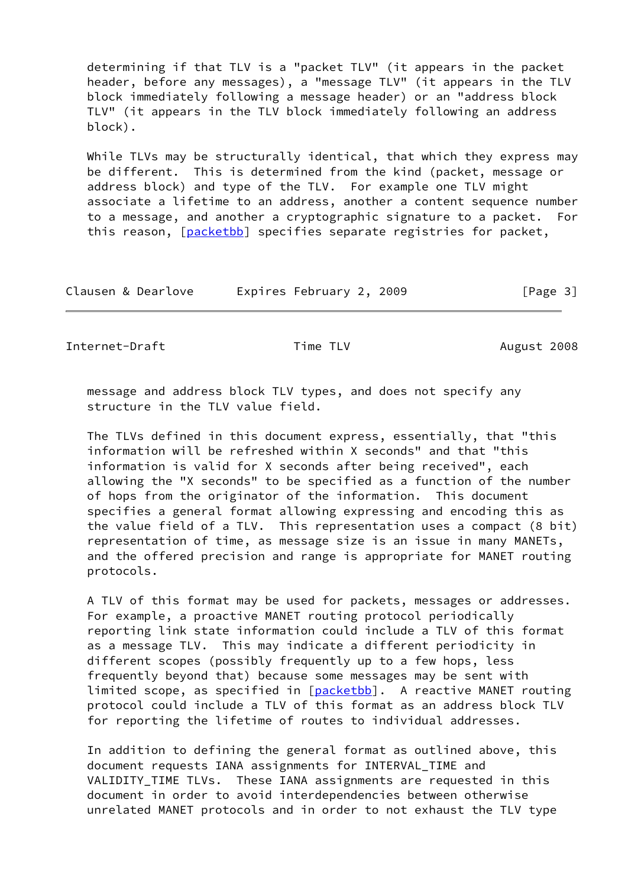determining if that TLV is a "packet TLV" (it appears in the packet header, before any messages), a "message TLV" (it appears in the TLV block immediately following a message header) or an "address block TLV" (it appears in the TLV block immediately following an address block).

While TLVs may be structurally identical, that which they express may be different. This is determined from the kind (packet, message or address block) and type of the TLV. For example one TLV might associate a lifetime to an address, another a content sequence number to a message, and another a cryptographic signature to a packet. For this reason, [\[packetbb](#page-13-2)] specifies separate registries for packet,

| Clausen & Dearlove | Expires February 2, 2009 | [Page 3] |
|--------------------|--------------------------|----------|
|--------------------|--------------------------|----------|

<span id="page-3-0"></span>Internet-Draft Time TLV Time TLV August 2008

 message and address block TLV types, and does not specify any structure in the TLV value field.

 The TLVs defined in this document express, essentially, that "this information will be refreshed within X seconds" and that "this information is valid for X seconds after being received", each allowing the "X seconds" to be specified as a function of the number of hops from the originator of the information. This document specifies a general format allowing expressing and encoding this as the value field of a TLV. This representation uses a compact (8 bit) representation of time, as message size is an issue in many MANETs, and the offered precision and range is appropriate for MANET routing protocols.

 A TLV of this format may be used for packets, messages or addresses. For example, a proactive MANET routing protocol periodically reporting link state information could include a TLV of this format as a message TLV. This may indicate a different periodicity in different scopes (possibly frequently up to a few hops, less frequently beyond that) because some messages may be sent with limited scope, as specified in [\[packetbb](#page-13-2)]. A reactive MANET routing protocol could include a TLV of this format as an address block TLV for reporting the lifetime of routes to individual addresses.

 In addition to defining the general format as outlined above, this document requests IANA assignments for INTERVAL\_TIME and VALIDITY\_TIME TLVs. These IANA assignments are requested in this document in order to avoid interdependencies between otherwise unrelated MANET protocols and in order to not exhaust the TLV type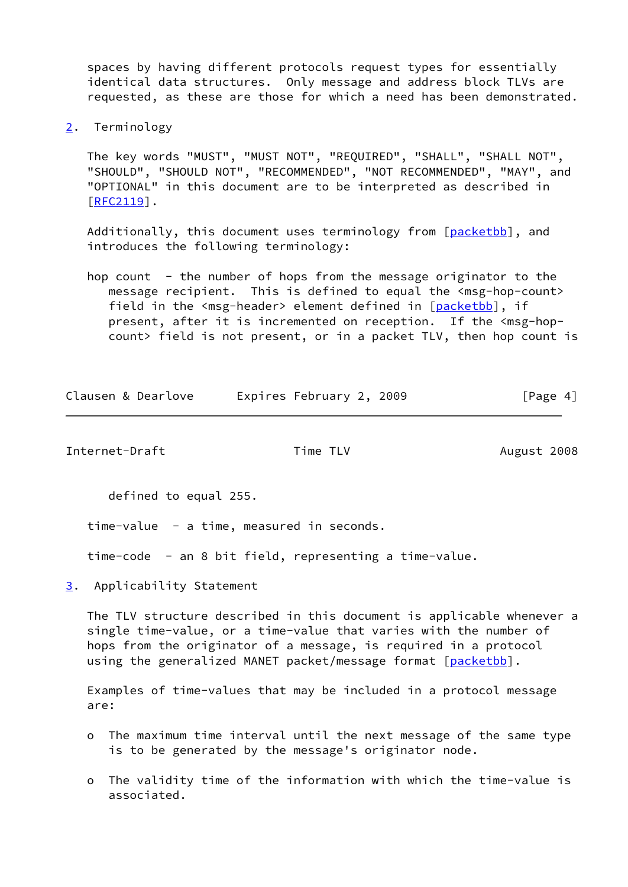spaces by having different protocols request types for essentially identical data structures. Only message and address block TLVs are requested, as these are those for which a need has been demonstrated.

<span id="page-4-0"></span>[2](#page-4-0). Terminology

 The key words "MUST", "MUST NOT", "REQUIRED", "SHALL", "SHALL NOT", "SHOULD", "SHOULD NOT", "RECOMMENDED", "NOT RECOMMENDED", "MAY", and "OPTIONAL" in this document are to be interpreted as described in [\[RFC2119](https://datatracker.ietf.org/doc/pdf/rfc2119)].

Additionally, this document uses terminology from [[packetbb\]](#page-13-2), and introduces the following terminology:

hop count - the number of hops from the message originator to the message recipient. This is defined to equal the <msg-hop-count> field in the <msg-header> element defined in [\[packetbb](#page-13-2)], if present, after it is incremented on reception. If the <msg-hopcount> field is not present, or in a packet TLV, then hop count is

| Clausen & Dearlove | Expires February 2, 2009 | [Page 4] |
|--------------------|--------------------------|----------|
|                    |                          |          |

<span id="page-4-2"></span>Internet-Draft Time TLV Time TLV August 2008

defined to equal 255.

time-value - a time, measured in seconds.

time-code - an 8 bit field, representing a time-value.

<span id="page-4-1"></span>[3](#page-4-1). Applicability Statement

 The TLV structure described in this document is applicable whenever a single time-value, or a time-value that varies with the number of hops from the originator of a message, is required in a protocol using the generalized MANET packet/message format [[packetbb\]](#page-13-2).

 Examples of time-values that may be included in a protocol message are:

- o The maximum time interval until the next message of the same type is to be generated by the message's originator node.
- o The validity time of the information with which the time-value is associated.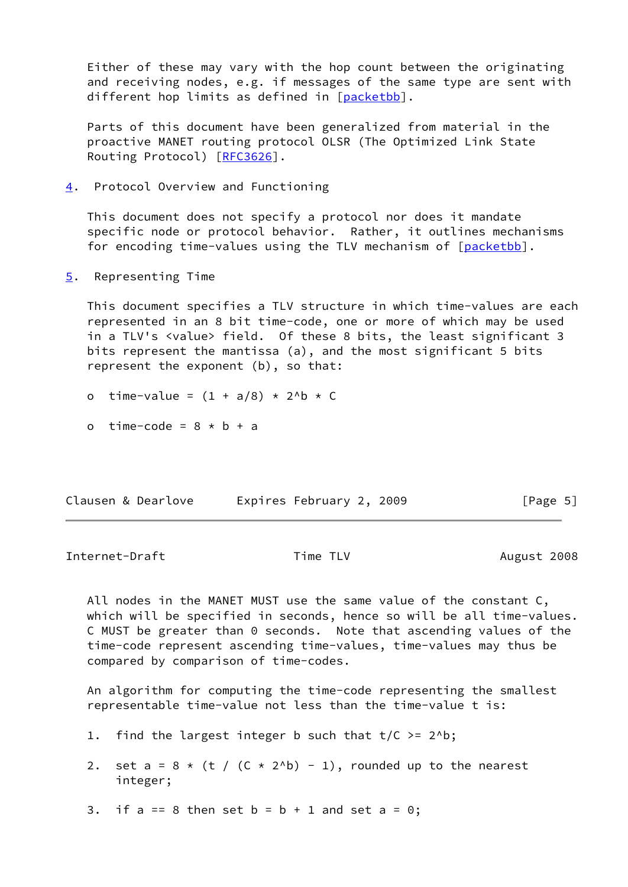Either of these may vary with the hop count between the originating and receiving nodes, e.g. if messages of the same type are sent with different hop limits as defined in [[packetbb\]](#page-13-2).

 Parts of this document have been generalized from material in the proactive MANET routing protocol OLSR (The Optimized Link State Routing Protocol) [[RFC3626](https://datatracker.ietf.org/doc/pdf/rfc3626)].

<span id="page-5-0"></span>[4](#page-5-0). Protocol Overview and Functioning

 This document does not specify a protocol nor does it mandate specific node or protocol behavior. Rather, it outlines mechanisms for encoding time-values using the TLV mechanism of [\[packetbb](#page-13-2)].

<span id="page-5-1"></span>[5](#page-5-1). Representing Time

 This document specifies a TLV structure in which time-values are each represented in an 8 bit time-code, one or more of which may be used in a TLV's <value> field. Of these 8 bits, the least significant 3 bits represent the mantissa (a), and the most significant 5 bits represent the exponent (b), so that:

- o time-value =  $(1 + a/8) * 2^b * C$
- o time-code =  $8 * b + a$

| Clausen & Dearlove | Expires February 2, 2009 | [Page 5] |
|--------------------|--------------------------|----------|
|--------------------|--------------------------|----------|

<span id="page-5-2"></span>Internet-Draft Time TLV Time TLV August 2008

 All nodes in the MANET MUST use the same value of the constant C, which will be specified in seconds, hence so will be all time-values. C MUST be greater than 0 seconds. Note that ascending values of the time-code represent ascending time-values, time-values may thus be compared by comparison of time-codes.

 An algorithm for computing the time-code representing the smallest representable time-value not less than the time-value t is:

- 1. find the largest integer b such that  $t/C \ge 2^b$ ;
- 2. set a =  $8 \times (t / (C \times 2^h) 1)$ , rounded up to the nearest integer;
- 3. if  $a == 8$  then set  $b = b + 1$  and set  $a = 0$ ;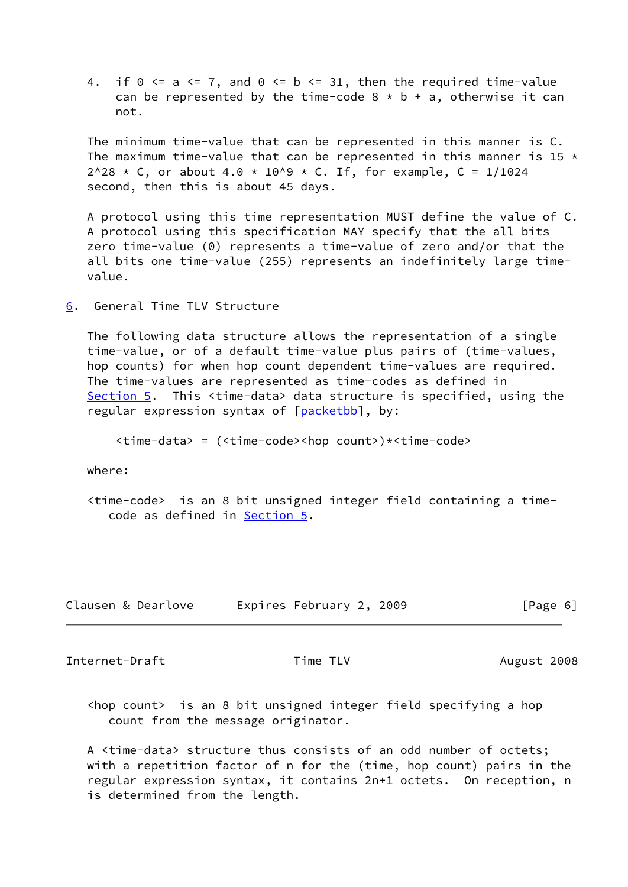4. if  $0 \le a \le 7$ , and  $0 \le b \le 31$ , then the required time-value can be represented by the time-code  $8 * b + a$ , otherwise it can not.

 The minimum time-value that can be represented in this manner is C. The maximum time-value that can be represented in this manner is 15  $\star$  $2^{\wedge}28$  \* C, or about 4.0 \* 10^9 \* C. If, for example, C = 1/1024 second, then this is about 45 days.

 A protocol using this time representation MUST define the value of C. A protocol using this specification MAY specify that the all bits zero time-value (0) represents a time-value of zero and/or that the all bits one time-value (255) represents an indefinitely large time value.

<span id="page-6-0"></span>[6](#page-6-0). General Time TLV Structure

 The following data structure allows the representation of a single time-value, or of a default time-value plus pairs of (time-values, hop counts) for when hop count dependent time-values are required. The time-values are represented as time-codes as defined in [Section 5](#page-5-1). This <time-data> data structure is specified, using the regular expression syntax of [\[packetbb](#page-13-2)], by:

<time-data> = (<time-code><hop count>)\*<time-code>

where:

 <time-code> is an 8 bit unsigned integer field containing a time code as defined in [Section 5.](#page-5-1)

| Clausen & Dearlove | Expires February 2, 2009 | [Page 6] |
|--------------------|--------------------------|----------|
|--------------------|--------------------------|----------|

<span id="page-6-1"></span>Internet-Draft Time TLV Time TLV August 2008

 <hop count> is an 8 bit unsigned integer field specifying a hop count from the message originator.

 A <time-data> structure thus consists of an odd number of octets; with a repetition factor of n for the (time, hop count) pairs in the regular expression syntax, it contains 2n+1 octets. On reception, n is determined from the length.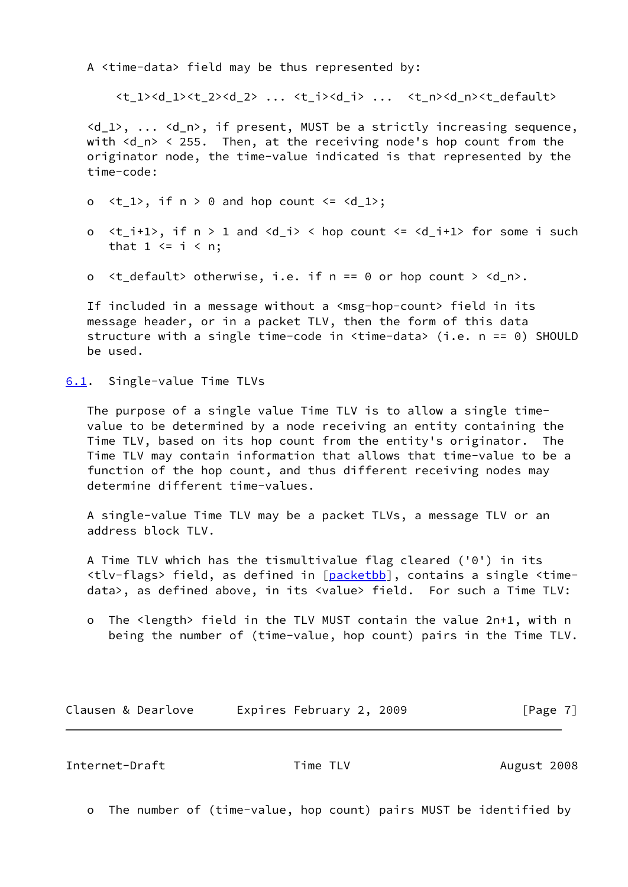A <time-data> field may be thus represented by:

<t 1><d 1><t 2><d 2> ... <t i><d i> ... <t n><d n><t default>

 <d\_1>, ... <d\_n>, if present, MUST be a strictly increasing sequence, with <d\_n> < 255. Then, at the receiving node's hop count from the originator node, the time-value indicated is that represented by the time-code:

- o  $lt_1$ ), if  $n > 0$  and hop count  $lt = \lt d_1$ );
- o  $\langle t_i + 1 \rangle$ , if  $n > 1$  and  $\langle d_i | i \rangle$   $\langle$  hop count  $\langle d_i + 1 \rangle$  for some i such that  $1 \le i \le n$ ;
- o <t\_default> otherwise, i.e. if n == 0 or hop count > <d\_n>.

If included in a message without a <msg-hop-count> field in its message header, or in a packet TLV, then the form of this data structure with a single time-code in <time-data> (i.e. n == 0) SHOULD be used.

<span id="page-7-0"></span>[6.1](#page-7-0). Single-value Time TLVs

 The purpose of a single value Time TLV is to allow a single time value to be determined by a node receiving an entity containing the Time TLV, based on its hop count from the entity's originator. The Time TLV may contain information that allows that time-value to be a function of the hop count, and thus different receiving nodes may determine different time-values.

 A single-value Time TLV may be a packet TLVs, a message TLV or an address block TLV.

 A Time TLV which has the tismultivalue flag cleared ('0') in its <tlv-flags> field, as defined in [\[packetbb](#page-13-2)], contains a single <time data>, as defined above, in its <value> field. For such a Time TLV:

 o The <length> field in the TLV MUST contain the value 2n+1, with n being the number of (time-value, hop count) pairs in the Time TLV.

Clausen & Dearlove Expires February 2, 2009 [Page 7]

<span id="page-7-1"></span>Internet-Draft Time TLV **August 2008** 

o The number of (time-value, hop count) pairs MUST be identified by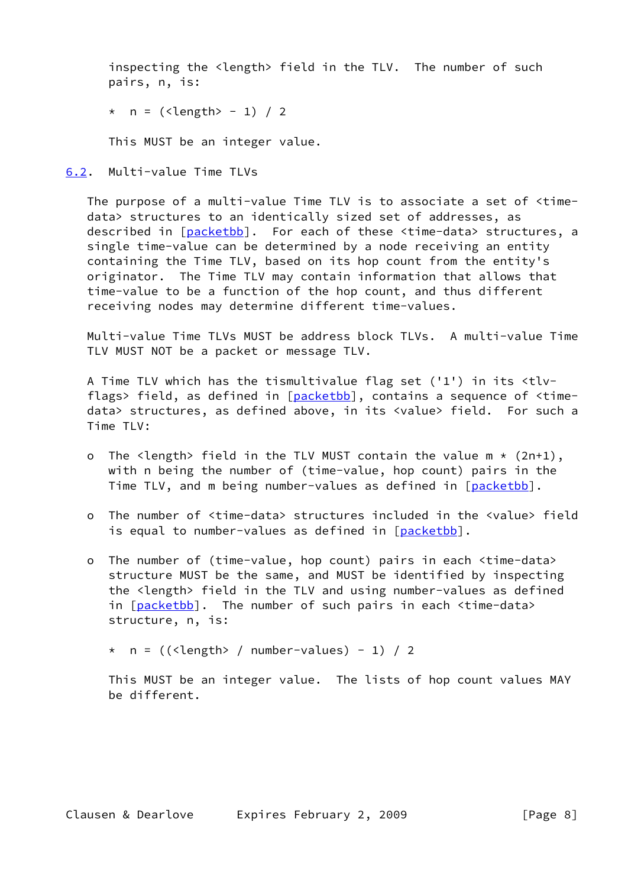inspecting the <length> field in the TLV. The number of such pairs, n, is:

```
* n = (<length> - 1) / 2
```
This MUST be an integer value.

<span id="page-8-0"></span>[6.2](#page-8-0). Multi-value Time TLVs

 The purpose of a multi-value Time TLV is to associate a set of <time data> structures to an identically sized set of addresses, as described in [\[packetbb](#page-13-2)]. For each of these <time-data> structures, a single time-value can be determined by a node receiving an entity containing the Time TLV, based on its hop count from the entity's originator. The Time TLV may contain information that allows that time-value to be a function of the hop count, and thus different receiving nodes may determine different time-values.

 Multi-value Time TLVs MUST be address block TLVs. A multi-value Time TLV MUST NOT be a packet or message TLV.

 A Time TLV which has the tismultivalue flag set ('1') in its <tlv- flags> field, as defined in [\[packetbb](#page-13-2)], contains a sequence of <time data> structures, as defined above, in its <value> field. For such a Time TLV:

- o The <length> field in the TLV MUST contain the value  $m * (2n+1)$ , with n being the number of (time-value, hop count) pairs in the Time TLV, and m being number-values as defined in [\[packetbb](#page-13-2)].
- o The number of <time-data> structures included in the <value> field is equal to number-values as defined in [[packetbb\]](#page-13-2).
- o The number of (time-value, hop count) pairs in each <time-data> structure MUST be the same, and MUST be identified by inspecting the <length> field in the TLV and using number-values as defined in [[packetbb\]](#page-13-2). The number of such pairs in each <time-data> structure, n, is:

 $*$  n = ((<length> / number-values) - 1) / 2

 This MUST be an integer value. The lists of hop count values MAY be different.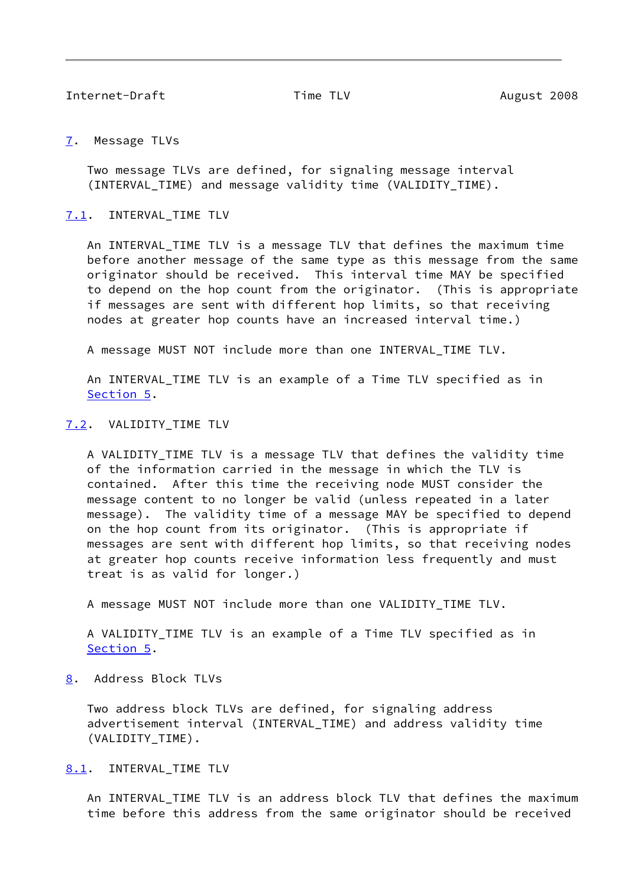<span id="page-9-1"></span>Internet-Draft Time TLV **August 2008** 

<span id="page-9-0"></span>[7](#page-9-0). Message TLVs

 Two message TLVs are defined, for signaling message interval (INTERVAL\_TIME) and message validity time (VALIDITY\_TIME).

<span id="page-9-2"></span>[7.1](#page-9-2). INTERVAL\_TIME TLV

An INTERVAL TIME TLV is a message TLV that defines the maximum time before another message of the same type as this message from the same originator should be received. This interval time MAY be specified to depend on the hop count from the originator. (This is appropriate if messages are sent with different hop limits, so that receiving nodes at greater hop counts have an increased interval time.)

A message MUST NOT include more than one INTERVAL\_TIME TLV.

 An INTERVAL\_TIME TLV is an example of a Time TLV specified as in [Section 5](#page-5-1).

### <span id="page-9-3"></span>[7.2](#page-9-3). VALIDITY\_TIME TLV

 A VALIDITY\_TIME TLV is a message TLV that defines the validity time of the information carried in the message in which the TLV is contained. After this time the receiving node MUST consider the message content to no longer be valid (unless repeated in a later message). The validity time of a message MAY be specified to depend on the hop count from its originator. (This is appropriate if messages are sent with different hop limits, so that receiving nodes at greater hop counts receive information less frequently and must treat is as valid for longer.)

A message MUST NOT include more than one VALIDITY\_TIME TLV.

 A VALIDITY\_TIME TLV is an example of a Time TLV specified as in [Section 5](#page-5-1).

<span id="page-9-4"></span>[8](#page-9-4). Address Block TLVs

 Two address block TLVs are defined, for signaling address advertisement interval (INTERVAL\_TIME) and address validity time (VALIDITY\_TIME).

<span id="page-9-5"></span>[8.1](#page-9-5). INTERVAL TIME TLV

 An INTERVAL\_TIME TLV is an address block TLV that defines the maximum time before this address from the same originator should be received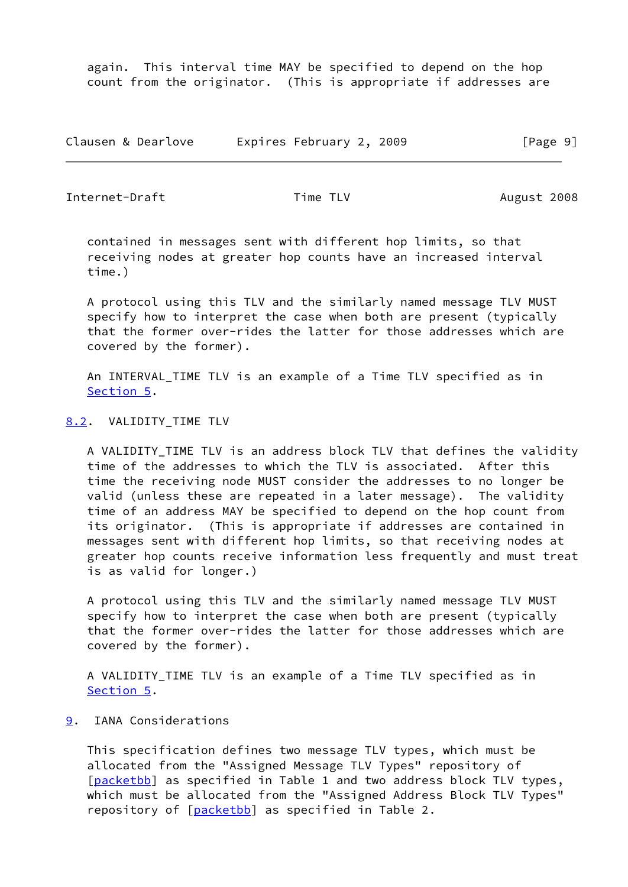again. This interval time MAY be specified to depend on the hop count from the originator. (This is appropriate if addresses are

Clausen & Dearlove Expires February 2, 2009 [Page 9]

<span id="page-10-1"></span>Internet-Draft Time TLV Time TLV August 2008

 contained in messages sent with different hop limits, so that receiving nodes at greater hop counts have an increased interval time.)

 A protocol using this TLV and the similarly named message TLV MUST specify how to interpret the case when both are present (typically that the former over-rides the latter for those addresses which are covered by the former).

 An INTERVAL\_TIME TLV is an example of a Time TLV specified as in [Section 5](#page-5-1).

# <span id="page-10-0"></span>[8.2](#page-10-0). VALIDITY\_TIME TLV

A VALIDITY TIME TLV is an address block TLV that defines the validity time of the addresses to which the TLV is associated. After this time the receiving node MUST consider the addresses to no longer be valid (unless these are repeated in a later message). The validity time of an address MAY be specified to depend on the hop count from its originator. (This is appropriate if addresses are contained in messages sent with different hop limits, so that receiving nodes at greater hop counts receive information less frequently and must treat is as valid for longer.)

 A protocol using this TLV and the similarly named message TLV MUST specify how to interpret the case when both are present (typically that the former over-rides the latter for those addresses which are covered by the former).

 A VALIDITY\_TIME TLV is an example of a Time TLV specified as in [Section 5](#page-5-1).

# <span id="page-10-2"></span>[9](#page-10-2). IANA Considerations

 This specification defines two message TLV types, which must be allocated from the "Assigned Message TLV Types" repository of [\[packetbb](#page-13-2)] as specified in Table 1 and two address block TLV types, which must be allocated from the "Assigned Address Block TLV Types" repository of [[packetbb\]](#page-13-2) as specified in Table 2.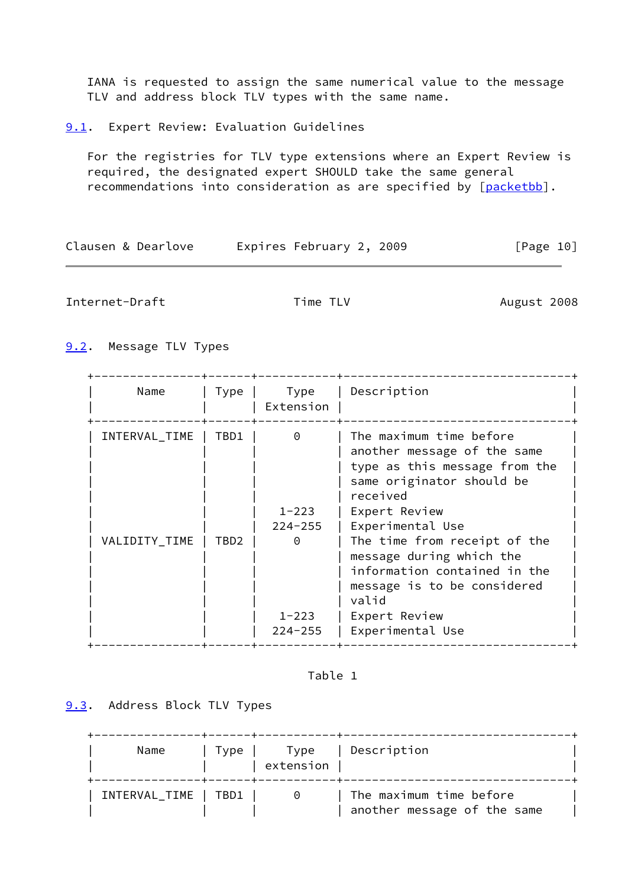IANA is requested to assign the same numerical value to the message TLV and address block TLV types with the same name.

<span id="page-11-0"></span>[9.1](#page-11-0). Expert Review: Evaluation Guidelines

 For the registries for TLV type extensions where an Expert Review is required, the designated expert SHOULD take the same general recommendations into consideration as are specified by [\[packetbb](#page-13-2)].

| Clausen & Dearlove | Expires February 2, 2009 | [Page 10] |
|--------------------|--------------------------|-----------|
|--------------------|--------------------------|-----------|

<span id="page-11-2"></span>Internet-Draft Time TLV Time TLV August 2008

<span id="page-11-1"></span>[9.2](#page-11-1). Message TLV Types

| Name          | Type             | Type<br>Extension        | Description                                                                                                                      |
|---------------|------------------|--------------------------|----------------------------------------------------------------------------------------------------------------------------------|
| INTERVAL_TIME | TBD1             | $\Theta$                 | The maximum time before<br>another message of the same<br>type as this message from the<br>same originator should be<br>received |
|               |                  | $1 - 223$                | Expert Review                                                                                                                    |
|               |                  | $224 - 255$              | Experimental Use                                                                                                                 |
| VALIDITY_TIME | TBD <sub>2</sub> | $\Theta$                 | The time from receipt of the<br>message during which the<br>information contained in the<br>message is to be considered<br>valid |
|               |                  | $1 - 223$<br>$224 - 255$ | Expert Review<br>Experimental Use                                                                                                |

Table 1

<span id="page-11-3"></span>[9.3](#page-11-3). Address Block TLV Types

| Name                 | Type I | Type<br>extension | Description                                            |  |
|----------------------|--------|-------------------|--------------------------------------------------------|--|
| INTERVAL_TIME   TBD1 |        | $\Theta$          | The maximum time before<br>another message of the same |  |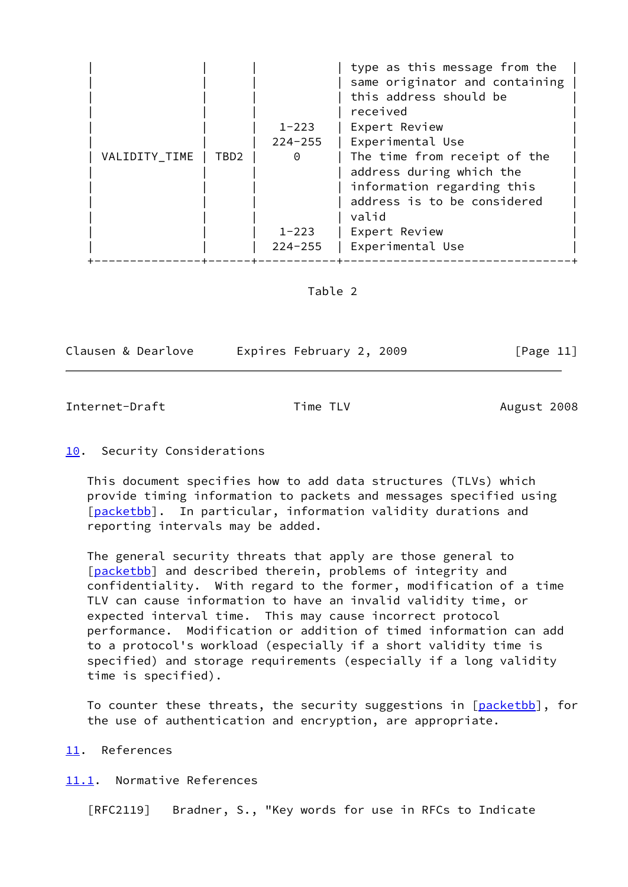|               |      |             | type as this message from the<br>same originator and containing<br>this address should be<br>received |
|---------------|------|-------------|-------------------------------------------------------------------------------------------------------|
|               |      | $1 - 223$   | Expert Review                                                                                         |
|               |      | $224 - 255$ | Experimental Use                                                                                      |
| VALIDITY_TIME | TBD2 | $\Theta$    | The time from receipt of the<br>address during which the<br>information regarding this                |
|               |      |             | address is to be considered<br>valid                                                                  |
|               |      | $1 - 223$   | Expert Review                                                                                         |
|               |      | $224 - 255$ | Experimental Use                                                                                      |

Table 2

|  |  |  | Clausen & Dearlove |
|--|--|--|--------------------|
|--|--|--|--------------------|

Expires February 2, 2009 [Page 11]

# <span id="page-12-1"></span>Internet-Draft Time TLV Time TLV August 2008

# <span id="page-12-0"></span>[10.](#page-12-0) Security Considerations

 This document specifies how to add data structures (TLVs) which provide timing information to packets and messages specified using [\[packetbb](#page-13-2)]. In particular, information validity durations and reporting intervals may be added.

 The general security threats that apply are those general to [\[packetbb](#page-13-2)] and described therein, problems of integrity and confidentiality. With regard to the former, modification of a time TLV can cause information to have an invalid validity time, or expected interval time. This may cause incorrect protocol performance. Modification or addition of timed information can add to a protocol's workload (especially if a short validity time is specified) and storage requirements (especially if a long validity time is specified).

To counter these threats, the security suggestions in [[packetbb\]](#page-13-2), for the use of authentication and encryption, are appropriate.

## <span id="page-12-2"></span>[11.](#page-12-2) References

## <span id="page-12-3"></span>[11.1](#page-12-3). Normative References

[RFC2119] Bradner, S., "Key words for use in RFCs to Indicate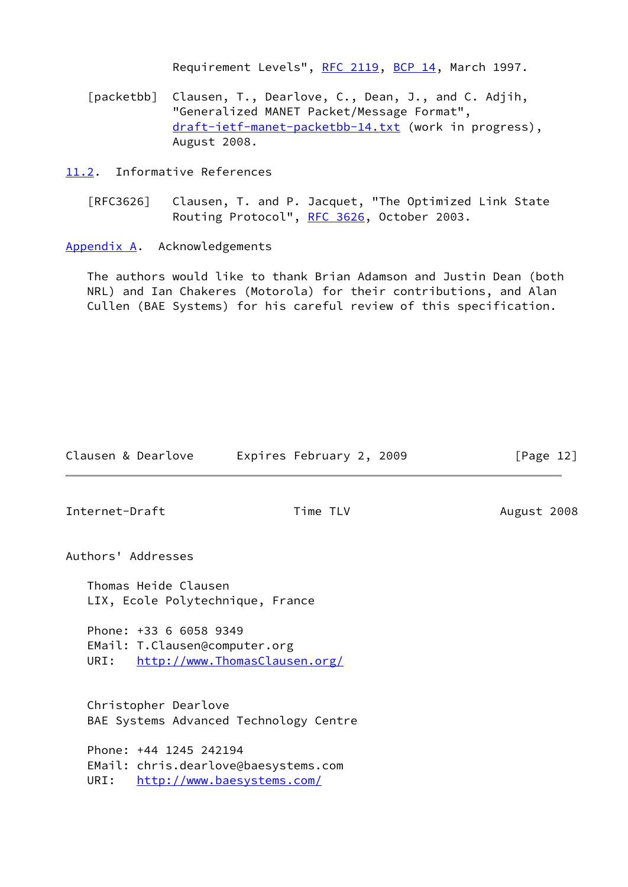Requirement Levels", [RFC 2119](https://datatracker.ietf.org/doc/pdf/rfc2119), [BCP 14](https://datatracker.ietf.org/doc/pdf/bcp14), March 1997.

<span id="page-13-2"></span> [packetbb] Clausen, T., Dearlove, C., Dean, J., and C. Adjih, "Generalized MANET Packet/Message Format", [draft-ietf-manet-packetbb-14.txt](https://datatracker.ietf.org/doc/pdf/draft-ietf-manet-packetbb-14.txt) (work in progress), August 2008.

<span id="page-13-0"></span>[11.2](#page-13-0). Informative References

 [RFC3626] Clausen, T. and P. Jacquet, "The Optimized Link State Routing Protocol", [RFC 3626,](https://datatracker.ietf.org/doc/pdf/rfc3626) October 2003.

<span id="page-13-1"></span>[Appendix A.](#page-13-1) Acknowledgements

 The authors would like to thank Brian Adamson and Justin Dean (both NRL) and Ian Chakeres (Motorola) for their contributions, and Alan Cullen (BAE Systems) for his careful review of this specification.

| Clausen & Dearlove                                              | Expires February 2, 2009                                           | [Page $12$ ] |
|-----------------------------------------------------------------|--------------------------------------------------------------------|--------------|
| Internet-Draft                                                  | Time TLV                                                           | August 2008  |
| Authors' Addresses                                              |                                                                    |              |
| Thomas Heide Clausen<br>LIX, Ecole Polytechnique, France        |                                                                    |              |
| Phone: +33 6 6058 9349<br>EMail: T.Clausen@computer.org<br>URI: | http://www.ThomasClausen.org/                                      |              |
| Christopher Dearlove                                            | BAE Systems Advanced Technology Centre                             |              |
| Phone: +44 1245 242194<br>URI:                                  | EMail: chris.dearlove@baesystems.com<br>http://www.baesystems.com/ |              |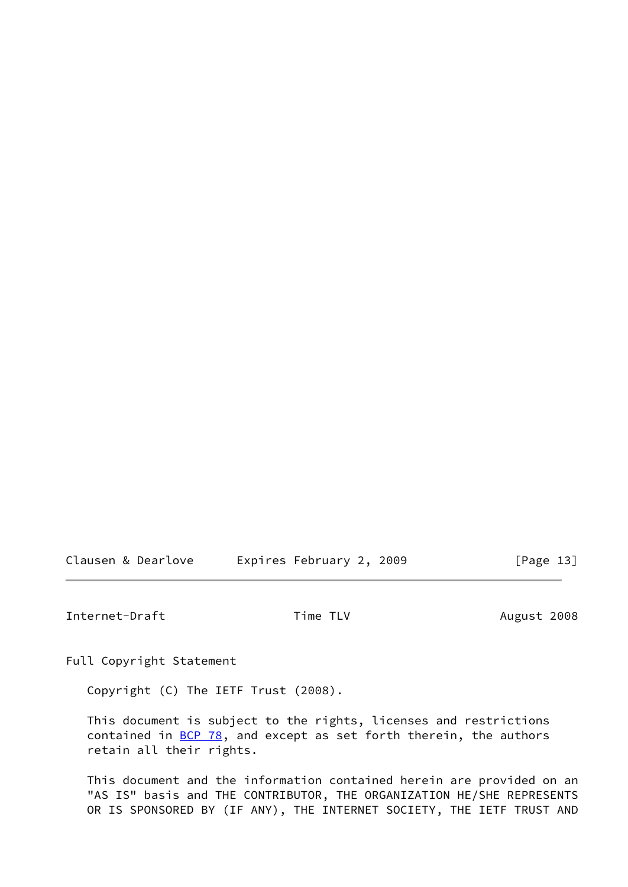Clausen & Dearlove **Expires February 2, 2009** [Page 13]

Internet-Draft Time TLV Time TLV August 2008

Full Copyright Statement

Copyright (C) The IETF Trust (2008).

 This document is subject to the rights, licenses and restrictions contained in  $\underline{BCP}$  78, and except as set forth therein, the authors retain all their rights.

 This document and the information contained herein are provided on an "AS IS" basis and THE CONTRIBUTOR, THE ORGANIZATION HE/SHE REPRESENTS OR IS SPONSORED BY (IF ANY), THE INTERNET SOCIETY, THE IETF TRUST AND